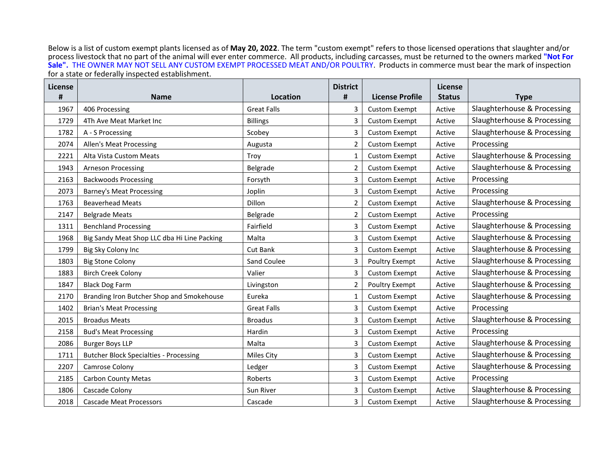Below is a list of custom exempt plants licensed as of **May 20, 2022**. The term "custom exempt" refers to those licensed operations that slaughter and/or process livestock that no part of the animal will ever enter commerce. All products, including carcasses, must be returned to the owners marked **"Not For Sale".** THE OWNER MAY NOT SELL ANY CUSTOM EXEMPT PROCESSED MEAT AND/OR POULTRY. Products in commerce must bear the mark of inspection for a state or federally inspected establishment.

| License |                                               |                    | <b>District</b> |                        | <b>License</b> |                             |
|---------|-----------------------------------------------|--------------------|-----------------|------------------------|----------------|-----------------------------|
| #       | <b>Name</b>                                   | <b>Location</b>    | #               | <b>License Profile</b> | <b>Status</b>  | <b>Type</b>                 |
| 1967    | 406 Processing                                | <b>Great Falls</b> | 3               | <b>Custom Exempt</b>   | Active         | Slaughterhouse & Processing |
| 1729    | 4Th Ave Meat Market Inc                       | <b>Billings</b>    | 3               | <b>Custom Exempt</b>   | Active         | Slaughterhouse & Processing |
| 1782    | A - S Processing                              | Scobey             | 3               | <b>Custom Exempt</b>   | Active         | Slaughterhouse & Processing |
| 2074    | <b>Allen's Meat Processing</b>                | Augusta            | 2               | <b>Custom Exempt</b>   | Active         | Processing                  |
| 2221    | Alta Vista Custom Meats                       | Troy               | $\mathbf{1}$    | <b>Custom Exempt</b>   | Active         | Slaughterhouse & Processing |
| 1943    | <b>Arneson Processing</b>                     | Belgrade           | 2               | <b>Custom Exempt</b>   | Active         | Slaughterhouse & Processing |
| 2163    | <b>Backwoods Processing</b>                   | Forsyth            | 3               | <b>Custom Exempt</b>   | Active         | Processing                  |
| 2073    | <b>Barney's Meat Processing</b>               | Joplin             | 3               | <b>Custom Exempt</b>   | Active         | Processing                  |
| 1763    | <b>Beaverhead Meats</b>                       | Dillon             | 2               | <b>Custom Exempt</b>   | Active         | Slaughterhouse & Processing |
| 2147    | <b>Belgrade Meats</b>                         | Belgrade           | 2               | <b>Custom Exempt</b>   | Active         | Processing                  |
| 1311    | <b>Benchland Processing</b>                   | Fairfield          | 3               | <b>Custom Exempt</b>   | Active         | Slaughterhouse & Processing |
| 1968    | Big Sandy Meat Shop LLC dba Hi Line Packing   | Malta              | 3               | <b>Custom Exempt</b>   | Active         | Slaughterhouse & Processing |
| 1799    | Big Sky Colony Inc                            | <b>Cut Bank</b>    | 3               | <b>Custom Exempt</b>   | Active         | Slaughterhouse & Processing |
| 1803    | <b>Big Stone Colony</b>                       | Sand Coulee        | 3               | <b>Poultry Exempt</b>  | Active         | Slaughterhouse & Processing |
| 1883    | <b>Birch Creek Colony</b>                     | Valier             | 3               | <b>Custom Exempt</b>   | Active         | Slaughterhouse & Processing |
| 1847    | <b>Black Dog Farm</b>                         | Livingston         | $\overline{2}$  | Poultry Exempt         | Active         | Slaughterhouse & Processing |
| 2170    | Branding Iron Butcher Shop and Smokehouse     | Eureka             | 1               | <b>Custom Exempt</b>   | Active         | Slaughterhouse & Processing |
| 1402    | <b>Brian's Meat Processing</b>                | <b>Great Falls</b> | 3               | <b>Custom Exempt</b>   | Active         | Processing                  |
| 2015    | <b>Broadus Meats</b>                          | <b>Broadus</b>     | 3               | <b>Custom Exempt</b>   | Active         | Slaughterhouse & Processing |
| 2158    | <b>Bud's Meat Processing</b>                  | Hardin             | 3               | <b>Custom Exempt</b>   | Active         | Processing                  |
| 2086    | <b>Burger Boys LLP</b>                        | Malta              | 3               | <b>Custom Exempt</b>   | Active         | Slaughterhouse & Processing |
| 1711    | <b>Butcher Block Specialties - Processing</b> | Miles City         | 3               | <b>Custom Exempt</b>   | Active         | Slaughterhouse & Processing |
| 2207    | Camrose Colony                                | Ledger             | 3               | <b>Custom Exempt</b>   | Active         | Slaughterhouse & Processing |
| 2185    | <b>Carbon County Metas</b>                    | Roberts            | 3               | <b>Custom Exempt</b>   | Active         | Processing                  |
| 1806    | Cascade Colony                                | Sun River          | 3               | <b>Custom Exempt</b>   | Active         | Slaughterhouse & Processing |
| 2018    | <b>Cascade Meat Processors</b>                | Cascade            | 3               | <b>Custom Exempt</b>   | Active         | Slaughterhouse & Processing |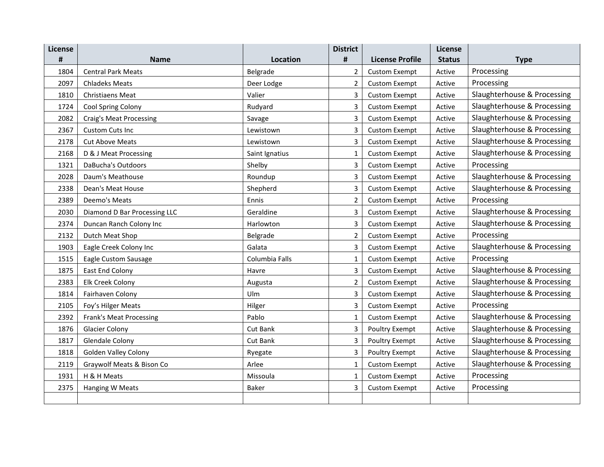| License |                                |                 | <b>District</b> |                        | License       |                             |
|---------|--------------------------------|-----------------|-----------------|------------------------|---------------|-----------------------------|
| #       | <b>Name</b>                    | <b>Location</b> | #               | <b>License Profile</b> | <b>Status</b> | <b>Type</b>                 |
| 1804    | <b>Central Park Meats</b>      | Belgrade        | $\overline{2}$  | <b>Custom Exempt</b>   | Active        | Processing                  |
| 2097    | <b>Chladeks Meats</b>          | Deer Lodge      | $\overline{2}$  | <b>Custom Exempt</b>   | Active        | Processing                  |
| 1810    | <b>Christiaens Meat</b>        | Valier          | 3               | <b>Custom Exempt</b>   | Active        | Slaughterhouse & Processing |
| 1724    | Cool Spring Colony             | Rudyard         | 3               | <b>Custom Exempt</b>   | Active        | Slaughterhouse & Processing |
| 2082    | <b>Craig's Meat Processing</b> | Savage          | 3               | <b>Custom Exempt</b>   | Active        | Slaughterhouse & Processing |
| 2367    | Custom Cuts Inc                | Lewistown       | 3               | <b>Custom Exempt</b>   | Active        | Slaughterhouse & Processing |
| 2178    | <b>Cut Above Meats</b>         | Lewistown       | 3               | <b>Custom Exempt</b>   | Active        | Slaughterhouse & Processing |
| 2168    | D & J Meat Processing          | Saint Ignatius  | $\mathbf{1}$    | <b>Custom Exempt</b>   | Active        | Slaughterhouse & Processing |
| 1321    | DaBucha's Outdoors             | Shelby          | 3               | <b>Custom Exempt</b>   | Active        | Processing                  |
| 2028    | Daum's Meathouse               | Roundup         | 3               | <b>Custom Exempt</b>   | Active        | Slaughterhouse & Processing |
| 2338    | Dean's Meat House              | Shepherd        | 3               | <b>Custom Exempt</b>   | Active        | Slaughterhouse & Processing |
| 2389    | Deemo's Meats                  | Ennis           | $\overline{2}$  | <b>Custom Exempt</b>   | Active        | Processing                  |
| 2030    | Diamond D Bar Processing LLC   | Geraldine       | 3               | <b>Custom Exempt</b>   | Active        | Slaughterhouse & Processing |
| 2374    | Duncan Ranch Colony Inc        | Harlowton       | 3               | <b>Custom Exempt</b>   | Active        | Slaughterhouse & Processing |
| 2132    | Dutch Meat Shop                | Belgrade        | $\overline{2}$  | <b>Custom Exempt</b>   | Active        | Processing                  |
| 1903    | Eagle Creek Colony Inc         | Galata          | 3               | <b>Custom Exempt</b>   | Active        | Slaughterhouse & Processing |
| 1515    | Eagle Custom Sausage           | Columbia Falls  | $\mathbf{1}$    | <b>Custom Exempt</b>   | Active        | Processing                  |
| 1875    | East End Colony                | Havre           | 3               | <b>Custom Exempt</b>   | Active        | Slaughterhouse & Processing |
| 2383    | Elk Creek Colony               | Augusta         | $\overline{2}$  | <b>Custom Exempt</b>   | Active        | Slaughterhouse & Processing |
| 1814    | Fairhaven Colony               | Ulm             | 3               | <b>Custom Exempt</b>   | Active        | Slaughterhouse & Processing |
| 2105    | Foy's Hilger Meats             | Hilger          | 3               | <b>Custom Exempt</b>   | Active        | Processing                  |
| 2392    | <b>Frank's Meat Processing</b> | Pablo           | $\mathbf{1}$    | <b>Custom Exempt</b>   | Active        | Slaughterhouse & Processing |
| 1876    | <b>Glacier Colony</b>          | <b>Cut Bank</b> | 3               | <b>Poultry Exempt</b>  | Active        | Slaughterhouse & Processing |
| 1817    | <b>Glendale Colony</b>         | Cut Bank        | 3               | Poultry Exempt         | Active        | Slaughterhouse & Processing |
| 1818    | <b>Golden Valley Colony</b>    | Ryegate         | 3               | Poultry Exempt         | Active        | Slaughterhouse & Processing |
| 2119    | Graywolf Meats & Bison Co      | Arlee           | $\mathbf 1$     | <b>Custom Exempt</b>   | Active        | Slaughterhouse & Processing |
| 1931    | H & H Meats                    | Missoula        | $\mathbf{1}$    | <b>Custom Exempt</b>   | Active        | Processing                  |
| 2375    | Hanging W Meats                | <b>Baker</b>    | 3               | <b>Custom Exempt</b>   | Active        | Processing                  |
|         |                                |                 |                 |                        |               |                             |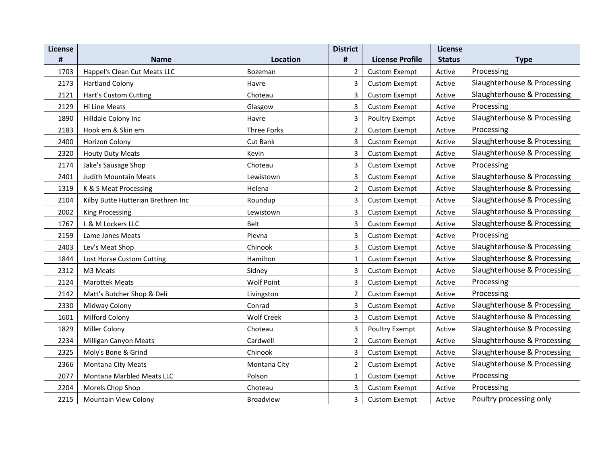| License |                                    |                    | <b>District</b> |                        | License       |                             |
|---------|------------------------------------|--------------------|-----------------|------------------------|---------------|-----------------------------|
| #       | <b>Name</b>                        | <b>Location</b>    | #               | <b>License Profile</b> | <b>Status</b> | <b>Type</b>                 |
| 1703    | Happel's Clean Cut Meats LLC       | Bozeman            | $\overline{2}$  | <b>Custom Exempt</b>   | Active        | Processing                  |
| 2173    | <b>Hartland Colony</b>             | Havre              | 3               | <b>Custom Exempt</b>   | Active        | Slaughterhouse & Processing |
| 2121    | Hart's Custom Cutting              | Choteau            | 3               | <b>Custom Exempt</b>   | Active        | Slaughterhouse & Processing |
| 2129    | Hi Line Meats                      | Glasgow            | 3               | <b>Custom Exempt</b>   | Active        | Processing                  |
| 1890    | Hilldale Colony Inc                | Havre              | 3               | Poultry Exempt         | Active        | Slaughterhouse & Processing |
| 2183    | Hook em & Skin em                  | <b>Three Forks</b> | $\overline{2}$  | <b>Custom Exempt</b>   | Active        | Processing                  |
| 2400    | Horizon Colony                     | Cut Bank           | 3               | <b>Custom Exempt</b>   | Active        | Slaughterhouse & Processing |
| 2320    | <b>Houty Duty Meats</b>            | Kevin              | 3               | <b>Custom Exempt</b>   | Active        | Slaughterhouse & Processing |
| 2174    | Jake's Sausage Shop                | Choteau            | 3               | <b>Custom Exempt</b>   | Active        | Processing                  |
| 2401    | <b>Judith Mountain Meats</b>       | Lewistown          | 3               | <b>Custom Exempt</b>   | Active        | Slaughterhouse & Processing |
| 1319    | K & S Meat Processing              | Helena             | $\overline{2}$  | <b>Custom Exempt</b>   | Active        | Slaughterhouse & Processing |
| 2104    | Kilby Butte Hutterian Brethren Inc | Roundup            | 3               | <b>Custom Exempt</b>   | Active        | Slaughterhouse & Processing |
| 2002    | <b>King Processing</b>             | Lewistown          | 3               | <b>Custom Exempt</b>   | Active        | Slaughterhouse & Processing |
| 1767    | L & M Lockers LLC                  | Belt               | 3               | <b>Custom Exempt</b>   | Active        | Slaughterhouse & Processing |
| 2159    | Lame Jones Meats                   | Plevna             | 3               | <b>Custom Exempt</b>   | Active        | Processing                  |
| 2403    | Lev's Meat Shop                    | Chinook            | 3               | <b>Custom Exempt</b>   | Active        | Slaughterhouse & Processing |
| 1844    | Lost Horse Custom Cutting          | Hamilton           | $\mathbf{1}$    | <b>Custom Exempt</b>   | Active        | Slaughterhouse & Processing |
| 2312    | M3 Meats                           | Sidney             | 3               | <b>Custom Exempt</b>   | Active        | Slaughterhouse & Processing |
| 2124    | <b>Marottek Meats</b>              | <b>Wolf Point</b>  | 3               | <b>Custom Exempt</b>   | Active        | Processing                  |
| 2142    | Matt's Butcher Shop & Deli         | Livingston         | $\overline{2}$  | <b>Custom Exempt</b>   | Active        | Processing                  |
| 2330    | Midway Colony                      | Conrad             | 3               | <b>Custom Exempt</b>   | Active        | Slaughterhouse & Processing |
| 1601    | <b>Milford Colony</b>              | <b>Wolf Creek</b>  | 3               | <b>Custom Exempt</b>   | Active        | Slaughterhouse & Processing |
| 1829    | <b>Miller Colony</b>               | Choteau            | 3               | Poultry Exempt         | Active        | Slaughterhouse & Processing |
| 2234    | <b>Milligan Canyon Meats</b>       | Cardwell           | $\overline{2}$  | <b>Custom Exempt</b>   | Active        | Slaughterhouse & Processing |
| 2325    | Moly's Bone & Grind                | Chinook            | 3               | <b>Custom Exempt</b>   | Active        | Slaughterhouse & Processing |
| 2366    | <b>Montana City Meats</b>          | Montana City       | $\overline{2}$  | <b>Custom Exempt</b>   | Active        | Slaughterhouse & Processing |
| 2077    | Montana Marbled Meats LLC          | Polson             | 1               | <b>Custom Exempt</b>   | Active        | Processing                  |
| 2204    | Morels Chop Shop                   | Choteau            | 3               | <b>Custom Exempt</b>   | Active        | Processing                  |
| 2215    | Mountain View Colony               | <b>Broadview</b>   | 3               | <b>Custom Exempt</b>   | Active        | Poultry processing only     |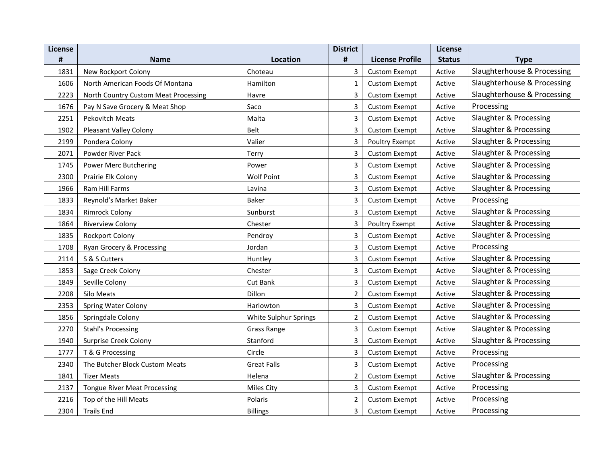| License |                                      |                       | <b>District</b> |                        | License       |                             |
|---------|--------------------------------------|-----------------------|-----------------|------------------------|---------------|-----------------------------|
| #       | <b>Name</b>                          | <b>Location</b>       | $\#$            | <b>License Profile</b> | <b>Status</b> | <b>Type</b>                 |
| 1831    | New Rockport Colony                  | Choteau               | 3               | <b>Custom Exempt</b>   | Active        | Slaughterhouse & Processing |
| 1606    | North American Foods Of Montana      | Hamilton              | 1               | <b>Custom Exempt</b>   | Active        | Slaughterhouse & Processing |
| 2223    | North Country Custom Meat Processing | Havre                 | 3               | <b>Custom Exempt</b>   | Active        | Slaughterhouse & Processing |
| 1676    | Pay N Save Grocery & Meat Shop       | Saco                  | 3               | <b>Custom Exempt</b>   | Active        | Processing                  |
| 2251    | <b>Pekovitch Meats</b>               | Malta                 | 3               | <b>Custom Exempt</b>   | Active        | Slaughter & Processing      |
| 1902    | <b>Pleasant Valley Colony</b>        | Belt                  | 3               | <b>Custom Exempt</b>   | Active        | Slaughter & Processing      |
| 2199    | Pondera Colony                       | Valier                | 3               | Poultry Exempt         | Active        | Slaughter & Processing      |
| 2071    | Powder River Pack                    | Terry                 | 3               | <b>Custom Exempt</b>   | Active        | Slaughter & Processing      |
| 1745    | Power Merc Butchering                | Power                 | 3               | <b>Custom Exempt</b>   | Active        | Slaughter & Processing      |
| 2300    | Prairie Elk Colony                   | <b>Wolf Point</b>     | 3               | <b>Custom Exempt</b>   | Active        | Slaughter & Processing      |
| 1966    | Ram Hill Farms                       | Lavina                | 3               | <b>Custom Exempt</b>   | Active        | Slaughter & Processing      |
| 1833    | Reynold's Market Baker               | <b>Baker</b>          | 3               | <b>Custom Exempt</b>   | Active        | Processing                  |
| 1834    | <b>Rimrock Colony</b>                | Sunburst              | 3               | <b>Custom Exempt</b>   | Active        | Slaughter & Processing      |
| 1864    | <b>Riverview Colony</b>              | Chester               | 3               | <b>Poultry Exempt</b>  | Active        | Slaughter & Processing      |
| 1835    | <b>Rockport Colony</b>               | Pendroy               | 3               | <b>Custom Exempt</b>   | Active        | Slaughter & Processing      |
| 1708    | Ryan Grocery & Processing            | Jordan                | 3               | <b>Custom Exempt</b>   | Active        | Processing                  |
| 2114    | S & S Cutters                        | Huntley               | 3               | <b>Custom Exempt</b>   | Active        | Slaughter & Processing      |
| 1853    | Sage Creek Colony                    | Chester               | 3               | <b>Custom Exempt</b>   | Active        | Slaughter & Processing      |
| 1849    | Seville Colony                       | Cut Bank              | 3               | <b>Custom Exempt</b>   | Active        | Slaughter & Processing      |
| 2208    | Silo Meats                           | Dillon                | $\overline{2}$  | <b>Custom Exempt</b>   | Active        | Slaughter & Processing      |
| 2353    | <b>Spring Water Colony</b>           | Harlowton             | 3               | <b>Custom Exempt</b>   | Active        | Slaughter & Processing      |
| 1856    | Springdale Colony                    | White Sulphur Springs | 2               | <b>Custom Exempt</b>   | Active        | Slaughter & Processing      |
| 2270    | <b>Stahl's Processing</b>            | Grass Range           | 3               | <b>Custom Exempt</b>   | Active        | Slaughter & Processing      |
| 1940    | <b>Surprise Creek Colony</b>         | Stanford              | 3               | <b>Custom Exempt</b>   | Active        | Slaughter & Processing      |
| 1777    | T & G Processing                     | Circle                | 3               | <b>Custom Exempt</b>   | Active        | Processing                  |
| 2340    | The Butcher Block Custom Meats       | <b>Great Falls</b>    | 3               | <b>Custom Exempt</b>   | Active        | Processing                  |
| 1841    | <b>Tizer Meats</b>                   | Helena                | $\overline{2}$  | <b>Custom Exempt</b>   | Active        | Slaughter & Processing      |
| 2137    | <b>Tongue River Meat Processing</b>  | Miles City            | 3               | <b>Custom Exempt</b>   | Active        | Processing                  |
| 2216    | Top of the Hill Meats                | Polaris               | $\overline{2}$  | <b>Custom Exempt</b>   | Active        | Processing                  |
| 2304    | <b>Trails End</b>                    | <b>Billings</b>       | 3               | <b>Custom Exempt</b>   | Active        | Processing                  |